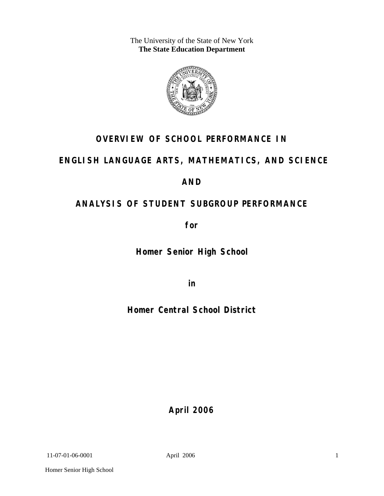The University of the State of New York **The State Education Department** 



# **OVERVIEW OF SCHOOL PERFORMANCE IN**

## **ENGLISH LANGUAGE ARTS, MATHEMATICS, AND SCIENCE**

## **AND**

# **ANALYSIS OF STUDENT SUBGROUP PERFORMANCE**

**for** 

**Homer Senior High School**

**in** 

**Homer Central School District**

**April 2006**

11-07-01-06-0001 April 2006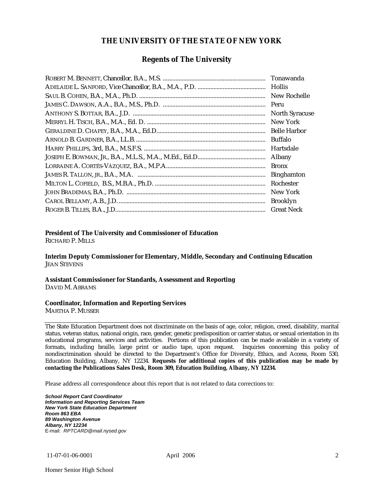### **THE UNIVERSITY OF THE STATE OF NEW YORK**

### **Regents of The University**

| Hollis                |
|-----------------------|
| New Rochelle          |
|                       |
| <b>North Syracuse</b> |
| New York              |
|                       |
| Buffalo               |
| Hartsdale             |
| Albany                |
| <b>Bronx</b>          |
| <b>Binghamton</b>     |
| Rochester             |
| New York              |
| <b>Brooklyn</b>       |
| <b>Great Neck</b>     |

#### **President of The University and Commissioner of Education**

RICHARD P. MILLS

**Interim Deputy Commissioner for Elementary, Middle, Secondary and Continuing Education**  JEAN STEVENS

#### **Assistant Commissioner for Standards, Assessment and Reporting**  DAVID M. ABRAMS

#### **Coordinator, Information and Reporting Services**

MARTHA P. MUSSER

The State Education Department does not discriminate on the basis of age, color, religion, creed, disability, marital status, veteran status, national origin, race, gender, genetic predisposition or carrier status, or sexual orientation in its educational programs, services and activities. Portions of this publication can be made available in a variety of formats, including braille, large print or audio tape, upon request. Inquiries concerning this policy of nondiscrimination should be directed to the Department's Office for Diversity, Ethics, and Access, Room 530, Education Building, Albany, NY 12234. **Requests for additional copies of this publication may be made by contacting the Publications Sales Desk, Room 309, Education Building, Albany, NY 12234.** 

Please address all correspondence about this report that is not related to data corrections to:

*School Report Card Coordinator Information and Reporting Services Team New York State Education Department Room 863 EBA 89 Washington Avenue Albany, NY 12234*  E-mail: *RPTCARD@mail.nysed.gov*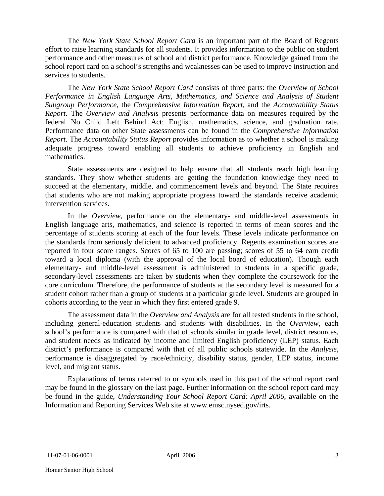The *New York State School Report Card* is an important part of the Board of Regents effort to raise learning standards for all students. It provides information to the public on student performance and other measures of school and district performance. Knowledge gained from the school report card on a school's strengths and weaknesses can be used to improve instruction and services to students.

The *New York State School Report Card* consists of three parts: the *Overview of School Performance in English Language Arts, Mathematics, and Science and Analysis of Student Subgroup Performance,* the *Comprehensive Information Report,* and the *Accountability Status Report*. The *Overview and Analysis* presents performance data on measures required by the federal No Child Left Behind Act: English, mathematics, science, and graduation rate. Performance data on other State assessments can be found in the *Comprehensive Information Report*. The *Accountability Status Report* provides information as to whether a school is making adequate progress toward enabling all students to achieve proficiency in English and mathematics.

State assessments are designed to help ensure that all students reach high learning standards. They show whether students are getting the foundation knowledge they need to succeed at the elementary, middle, and commencement levels and beyond. The State requires that students who are not making appropriate progress toward the standards receive academic intervention services.

In the *Overview*, performance on the elementary- and middle-level assessments in English language arts, mathematics, and science is reported in terms of mean scores and the percentage of students scoring at each of the four levels. These levels indicate performance on the standards from seriously deficient to advanced proficiency. Regents examination scores are reported in four score ranges. Scores of 65 to 100 are passing; scores of 55 to 64 earn credit toward a local diploma (with the approval of the local board of education). Though each elementary- and middle-level assessment is administered to students in a specific grade, secondary-level assessments are taken by students when they complete the coursework for the core curriculum. Therefore, the performance of students at the secondary level is measured for a student cohort rather than a group of students at a particular grade level. Students are grouped in cohorts according to the year in which they first entered grade 9.

The assessment data in the *Overview and Analysis* are for all tested students in the school, including general-education students and students with disabilities. In the *Overview*, each school's performance is compared with that of schools similar in grade level, district resources, and student needs as indicated by income and limited English proficiency (LEP) status. Each district's performance is compared with that of all public schools statewide. In the *Analysis*, performance is disaggregated by race/ethnicity, disability status, gender, LEP status, income level, and migrant status.

Explanations of terms referred to or symbols used in this part of the school report card may be found in the glossary on the last page. Further information on the school report card may be found in the guide, *Understanding Your School Report Card: April 2006*, available on the Information and Reporting Services Web site at www.emsc.nysed.gov/irts.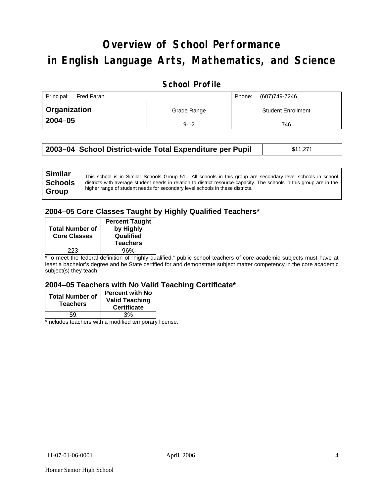# **Overview of School Performance in English Language Arts, Mathematics, and Science**

### **School Profile**

| Principal:<br>Fred Farah | Phone:      | (607) 749-7246            |     |  |  |
|--------------------------|-------------|---------------------------|-----|--|--|
| Organization             | Grade Range | <b>Student Enrollment</b> |     |  |  |
| $2004 - 05$              | $9 - 12$    |                           | 746 |  |  |

|  | 2003–04 School District-wide Total Expenditure per Pupil | \$11,271 |
|--|----------------------------------------------------------|----------|
|--|----------------------------------------------------------|----------|

### **2004–05 Core Classes Taught by Highly Qualified Teachers\***

| <b>Total Number of</b><br><b>Core Classes</b> | <b>Percent Taught</b><br>by Highly<br>Qualified<br><b>Teachers</b> |
|-----------------------------------------------|--------------------------------------------------------------------|
| 223                                           | 96%                                                                |

\*To meet the federal definition of "highly qualified," public school teachers of core academic subjects must have at least a bachelor's degree and be State certified for and demonstrate subject matter competency in the core academic subject(s) they teach.

#### **2004–05 Teachers with No Valid Teaching Certificate\***

| <b>Total Number of</b><br><b>Teachers</b> | <b>Percent with No</b><br><b>Valid Teaching</b><br><b>Certificate</b> |
|-------------------------------------------|-----------------------------------------------------------------------|
| 59                                        | 3%                                                                    |
| $\mathbf{A}$<br>$\cdots$                  |                                                                       |

\*Includes teachers with a modified temporary license.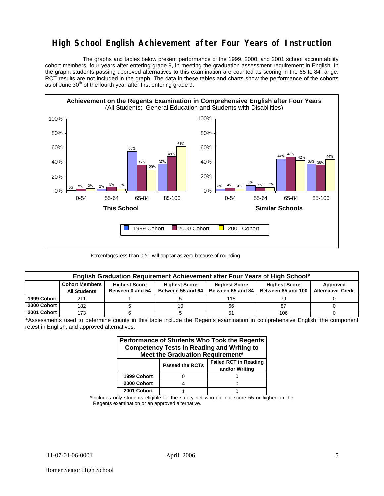### **High School English Achievement after Four Years of Instruction**

 The graphs and tables below present performance of the 1999, 2000, and 2001 school accountability cohort members, four years after entering grade 9, in meeting the graduation assessment requirement in English. In the graph, students passing approved alternatives to this examination are counted as scoring in the 65 to 84 range. RCT results are not included in the graph. The data in these tables and charts show the performance of the cohorts as of June 30<sup>th</sup> of the fourth year after first entering grade 9.



Percentages less than 0.51 will appear as zero because of rounding.

| English Graduation Requirement Achievement after Four Years of High School* |                                                                                                                                                                                                                                                    |  |  |     |     |  |  |  |  |  |  |
|-----------------------------------------------------------------------------|----------------------------------------------------------------------------------------------------------------------------------------------------------------------------------------------------------------------------------------------------|--|--|-----|-----|--|--|--|--|--|--|
|                                                                             | <b>Cohort Members</b><br><b>Highest Score</b><br><b>Highest Score</b><br><b>Highest Score</b><br><b>Highest Score</b><br>Approved<br>Between 55 and 64<br>Between 0 and 54<br>Between 65 and 84<br>Between 85 and 100<br><b>Alternative Credit</b> |  |  |     |     |  |  |  |  |  |  |
|                                                                             | <b>All Students</b>                                                                                                                                                                                                                                |  |  |     |     |  |  |  |  |  |  |
| 1999 Cohort                                                                 | 21'                                                                                                                                                                                                                                                |  |  | 115 | 79  |  |  |  |  |  |  |
| 2000 Cohort                                                                 | 182                                                                                                                                                                                                                                                |  |  | 66  | 87  |  |  |  |  |  |  |
| 2001 Cohort                                                                 | 173                                                                                                                                                                                                                                                |  |  | 51  | 106 |  |  |  |  |  |  |

\*Assessments used to determine counts in this table include the Regents examination in comprehensive English, the component retest in English, and approved alternatives.

| Performance of Students Who Took the Regents<br><b>Competency Tests in Reading and Writing to</b><br>Meet the Graduation Requirement* |  |  |  |  |  |  |  |
|---------------------------------------------------------------------------------------------------------------------------------------|--|--|--|--|--|--|--|
| <b>Failed RCT in Reading</b><br><b>Passed the RCTs</b><br>and/or Writing                                                              |  |  |  |  |  |  |  |
| 1999 Cohort                                                                                                                           |  |  |  |  |  |  |  |
| 2000 Cohort                                                                                                                           |  |  |  |  |  |  |  |
| 2001 Cohort                                                                                                                           |  |  |  |  |  |  |  |

\*Includes only students eligible for the safety net who did not score 55 or higher on the Regents examination or an approved alternative.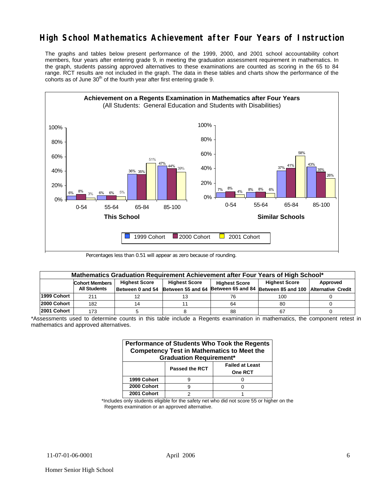## **High School Mathematics Achievement after Four Years of Instruction**

The graphs and tables below present performance of the 1999, 2000, and 2001 school accountability cohort members, four years after entering grade 9, in meeting the graduation assessment requirement in mathematics. In the graph, students passing approved alternatives to these examinations are counted as scoring in the 65 to 84 range. RCT results are not included in the graph. The data in these tables and charts show the performance of the cohorts as of June  $30<sup>th</sup>$  of the fourth year after first entering grade 9.



Percentages less than 0.51 will appear as zero because of rounding.

|             | Mathematics Graduation Requirement Achievement after Four Years of High School*                                                   |                  |  |    |                                                                           |  |  |  |  |
|-------------|-----------------------------------------------------------------------------------------------------------------------------------|------------------|--|----|---------------------------------------------------------------------------|--|--|--|--|
|             | <b>Highest Score</b><br><b>Highest Score</b><br><b>Highest Score</b><br>Approved<br><b>Cohort Members</b><br><b>Highest Score</b> |                  |  |    |                                                                           |  |  |  |  |
|             | <b>All Students</b>                                                                                                               | Between 0 and 54 |  |    | Between 55 and 64 Between 65 and 84 Between 85 and 100 Alternative Credit |  |  |  |  |
| 1999 Cohort | 211                                                                                                                               |                  |  | 76 | 100                                                                       |  |  |  |  |
| 2000 Cohort | 182                                                                                                                               |                  |  | 64 | 80                                                                        |  |  |  |  |
| 2001 Cohort | 173                                                                                                                               |                  |  | 88 | 67                                                                        |  |  |  |  |

<sup>\*</sup>Assessments used to determine counts in this table include a Regents examination in mathematics, the component retest in mathematics and approved alternatives.

| Performance of Students Who Took the Regents<br><b>Competency Test in Mathematics to Meet the</b><br><b>Graduation Requirement*</b> |   |  |  |  |  |  |  |
|-------------------------------------------------------------------------------------------------------------------------------------|---|--|--|--|--|--|--|
| <b>Failed at Least</b><br><b>Passed the RCT</b><br><b>One RCT</b>                                                                   |   |  |  |  |  |  |  |
| 1999 Cohort                                                                                                                         |   |  |  |  |  |  |  |
| 2000 Cohort                                                                                                                         | 9 |  |  |  |  |  |  |
| 2001 Cohort                                                                                                                         |   |  |  |  |  |  |  |

\*Includes only students eligible for the safety net who did not score 55 or higher on the Regents examination or an approved alternative.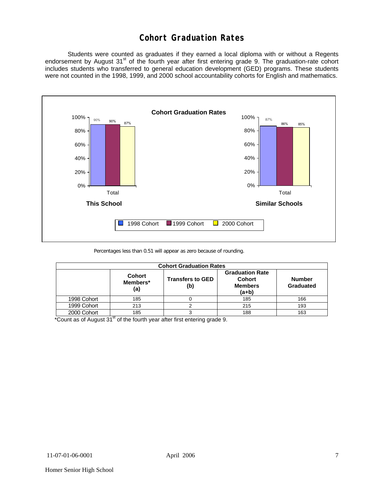### **Cohort Graduation Rates**

 Students were counted as graduates if they earned a local diploma with or without a Regents endorsement by August 31<sup>st</sup> of the fourth year after first entering grade 9. The graduation-rate cohort includes students who transferred to general education development (GED) programs. These students were not counted in the 1998, 1999, and 2000 school accountability cohorts for English and mathematics.



Percentages less than 0.51 will appear as zero because of rounding.

| <b>Cohort Graduation Rates</b> |                                  |                                |                                                                    |                            |  |  |  |  |
|--------------------------------|----------------------------------|--------------------------------|--------------------------------------------------------------------|----------------------------|--|--|--|--|
|                                | <b>Cohort</b><br>Members*<br>(a) | <b>Transfers to GED</b><br>(b) | <b>Graduation Rate</b><br><b>Cohort</b><br><b>Members</b><br>(a+b) | <b>Number</b><br>Graduated |  |  |  |  |
| 1998 Cohort                    | 185                              |                                | 185                                                                | 166                        |  |  |  |  |
| 1999 Cohort                    | 213                              |                                | 215                                                                | 193                        |  |  |  |  |
| 2000 Cohort                    | 185                              |                                | 188                                                                | 163                        |  |  |  |  |

\*Count as of August  $31<sup>st</sup>$  of the fourth year after first entering grade 9.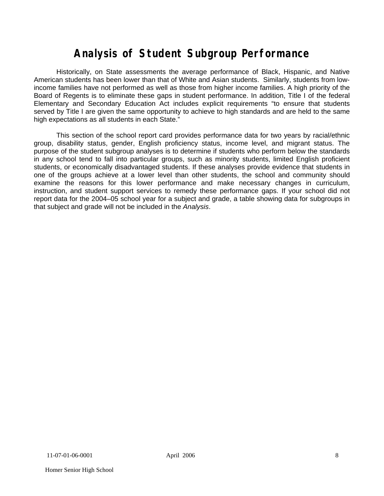# **Analysis of Student Subgroup Performance**

Historically, on State assessments the average performance of Black, Hispanic, and Native American students has been lower than that of White and Asian students. Similarly, students from lowincome families have not performed as well as those from higher income families. A high priority of the Board of Regents is to eliminate these gaps in student performance. In addition, Title I of the federal Elementary and Secondary Education Act includes explicit requirements "to ensure that students served by Title I are given the same opportunity to achieve to high standards and are held to the same high expectations as all students in each State."

This section of the school report card provides performance data for two years by racial/ethnic group, disability status, gender, English proficiency status, income level, and migrant status. The purpose of the student subgroup analyses is to determine if students who perform below the standards in any school tend to fall into particular groups, such as minority students, limited English proficient students, or economically disadvantaged students. If these analyses provide evidence that students in one of the groups achieve at a lower level than other students, the school and community should examine the reasons for this lower performance and make necessary changes in curriculum, instruction, and student support services to remedy these performance gaps. If your school did not report data for the 2004–05 school year for a subject and grade, a table showing data for subgroups in that subject and grade will not be included in the *Analysis*.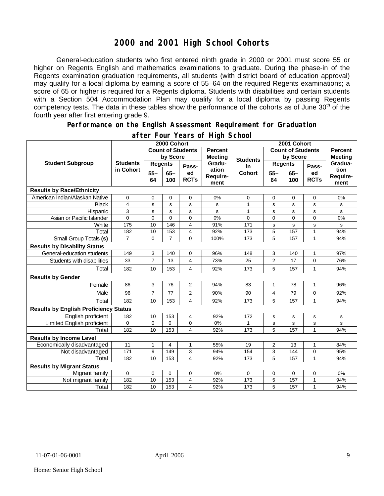### **2000 and 2001 High School Cohorts**

General-education students who first entered ninth grade in 2000 or 2001 must score 55 or higher on Regents English and mathematics examinations to graduate. During the phase-in of the Regents examination graduation requirements, all students (with district board of education approval) may qualify for a local diploma by earning a score of 55–64 on the required Regents examinations; a score of 65 or higher is required for a Regents diploma. Students with disabilities and certain students with a Section 504 Accommodation Plan may qualify for a local diploma by passing Regents competency tests. The data in these tables show the performance of the cohorts as of June 30<sup>th</sup> of the fourth year after first entering grade 9.

#### **Performance on the English Assessment Requirement for Graduation**

|                                              | 2000 Cohort              |                |                |                   |                           | 2001 Cohort              |                |                |                   |                          |
|----------------------------------------------|--------------------------|----------------|----------------|-------------------|---------------------------|--------------------------|----------------|----------------|-------------------|--------------------------|
|                                              | <b>Count of Students</b> |                |                | <b>Percent</b>    |                           | <b>Count of Students</b> |                | <b>Percent</b> |                   |                          |
|                                              |                          |                | by Score       |                   | <b>Meeting</b>            | <b>Students</b>          | by Score       |                | <b>Meeting</b>    |                          |
| <b>Student Subgroup</b>                      | <b>Students</b>          | <b>Regents</b> |                | Pass-             | Gradu-                    | in                       |                | <b>Regents</b> | Pass-             | Gradua-                  |
|                                              | in Cohort                | $55 -$<br>64   | $65 -$<br>100  | ed<br><b>RCTs</b> | ation<br>Require-<br>ment | <b>Cohort</b>            | $55 -$<br>64   | $65 -$<br>100  | ed<br><b>RCTs</b> | tion<br>Require-<br>ment |
| <b>Results by Race/Ethnicity</b>             |                          |                |                |                   |                           |                          |                |                |                   |                          |
| American Indian/Alaskan Native               | 0                        | 0              | $\mathbf 0$    | 0                 | 0%                        | 0                        | 0              | $\mathbf 0$    | 0                 | 0%                       |
| <b>Black</b>                                 | $\overline{4}$           | s              | s              | s                 | s                         | 1                        | s              | s              | s                 | s                        |
| Hispanic                                     | 3                        | S              | s              | s                 | s                         | 1                        | s              | s              | s                 | s                        |
| Asian or Pacific Islander                    | $\Omega$                 | $\mathbf 0$    | $\Omega$       | $\overline{0}$    | 0%                        | 0                        | $\Omega$       | 0              | $\overline{0}$    | 0%                       |
| White                                        | 175                      | 10             | 146            | 4                 | 91%                       | 171                      | s              | $\mathbf s$    | s                 | s                        |
| Total                                        | 182                      | 10             | 153            | $\overline{4}$    | 92%                       | 173                      | 5              | 157            | $\mathbf{1}$      | 94%                      |
| Small Group Totals (s)                       | $\overline{7}$           | 0              | $\overline{7}$ | $\Omega$          | 100%                      | 173                      | 5              | 157            | 1                 | 94%                      |
| <b>Results by Disability Status</b>          |                          |                |                |                   |                           |                          |                |                |                   |                          |
| General-education students                   | 149                      | 3              | 140            | 0                 | 96%                       | 148                      | 3              | 140            | 1                 | 97%                      |
| Students with disabilities                   | 33                       | $\overline{7}$ | 13             | 4                 | 73%                       | 25                       | $\overline{2}$ | 17             | 0                 | 76%                      |
| Total                                        | 182                      | 10             | 153            | 4                 | 92%                       | 173                      | 5              | 157            | $\mathbf{1}$      | 94%                      |
| <b>Results by Gender</b>                     |                          |                |                |                   |                           |                          |                |                |                   |                          |
| Female                                       | 86                       | 3              | 76             | $\overline{2}$    | 94%                       | 83                       | $\mathbf{1}$   | 78             | $\mathbf{1}$      | 96%                      |
| Male                                         | 96                       | $\overline{7}$ | 77             | 2                 | 90%                       | 90                       | 4              | 79             | 0                 | 92%                      |
| Total                                        | 182                      | 10             | 153            | 4                 | 92%                       | 173                      | 5              | 157            | $\mathbf{1}$      | 94%                      |
| <b>Results by English Proficiency Status</b> |                          |                |                |                   |                           |                          |                |                |                   |                          |
| English proficient                           | 182                      | 10             | 153            | 4                 | 92%                       | 172                      | s              | s              | s                 | s                        |
| Limited English proficient                   | $\Omega$                 | $\mathbf 0$    | $\Omega$       | 0                 | 0%                        | 1                        | s              | s              | s                 | s                        |
| Total                                        | 182                      | 10             | 153            | 4                 | 92%                       | 173                      | 5              | 157            | 1                 | 94%                      |
| <b>Results by Income Level</b>               |                          |                |                |                   |                           |                          |                |                |                   |                          |
| Economically disadvantaged                   | 11                       | $\mathbf{1}$   | 4              | $\mathbf{1}$      | 55%                       | 19                       | $\overline{2}$ | 13             | $\mathbf{1}$      | 84%                      |
| Not disadvantaged                            | 171                      | 9              | 149            | 3                 | 94%                       | 154                      | 3              | 144            | 0                 | 95%                      |
| Total                                        | 182                      | 10             | 153            | 4                 | 92%                       | 173                      | 5              | 157            | 1                 | 94%                      |
| <b>Results by Migrant Status</b>             |                          |                |                |                   |                           |                          |                |                |                   |                          |
| Migrant family                               | 0                        | $\mathbf 0$    | $\mathbf 0$    | 0                 | 0%                        | 0                        | 0              | $\mathbf 0$    | 0                 | 0%                       |
| Not migrant family                           | 182                      | 10             | 153            | 4                 | 92%                       | 173                      | 5              | 157            | $\mathbf{1}$      | 94%                      |
| Total                                        | 182                      | 10             | 153            | 4                 | 92%                       | 173                      | 5              | 157            | 1                 | 94%                      |

#### **after Four Years of High School**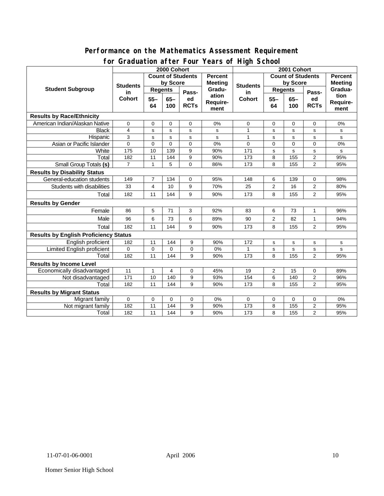#### **Performance on the Mathematics Assessment Requirement for Graduation after Four Years of High School**

|                                              | 31 aaaacion aftor Foar<br>rears or right concor<br>2000 Cohort |                          |          |                |                | 2001 Cohort           |                          |                |                |                                  |
|----------------------------------------------|----------------------------------------------------------------|--------------------------|----------|----------------|----------------|-----------------------|--------------------------|----------------|----------------|----------------------------------|
| <b>Student Subgroup</b>                      |                                                                | <b>Count of Students</b> |          |                | Percent        |                       | <b>Count of Students</b> |                |                | <b>Percent</b><br><b>Meeting</b> |
|                                              | <b>Students</b><br>in<br><b>Cohort</b>                         | by Score                 |          |                | <b>Meeting</b> |                       | by Score                 |                |                |                                  |
|                                              |                                                                | <b>Regents</b>           |          | Pass-          | Gradu-         | <b>Students</b><br>in | <b>Regents</b>           |                | Pass-          | Gradua-                          |
|                                              |                                                                | $55 -$                   | $65 -$   | ed             | ation          | <b>Cohort</b>         | $55 -$                   | $65-$          | ed             | tion                             |
|                                              |                                                                | 64                       | 100      | <b>RCTs</b>    | Require-       |                       | 64                       | 100            | <b>RCTs</b>    | Require-                         |
|                                              |                                                                |                          |          |                | ment           |                       |                          |                |                | ment                             |
| <b>Results by Race/Ethnicity</b>             |                                                                |                          |          |                |                |                       |                          |                |                |                                  |
| American Indian/Alaskan Native               | $\Omega$                                                       | $\mathbf 0$              | $\Omega$ | $\Omega$       | 0%             | 0                     | $\Omega$                 | $\mathbf 0$    | $\Omega$       | 0%                               |
| <b>Black</b>                                 | $\overline{\mathbf{4}}$                                        | s                        | s        | s              | s              | $\mathbf{1}$          | s                        | s              | s              | s                                |
| Hispanic                                     | 3                                                              | s                        | s        | s              | s              | $\mathbf{1}$          | $\mathbf s$              | s              | s              | s                                |
| Asian or Pacific Islander                    | $\overline{0}$                                                 | $\Omega$                 | $\Omega$ | $\overline{0}$ | 0%             | $\overline{0}$        | $\Omega$                 | $\overline{0}$ | $\overline{0}$ | 0%                               |
| White                                        | $\frac{1}{175}$                                                | 10                       | 139      | 9              | 90%            | 171                   | s                        | s              | s              | s                                |
| Total                                        | 182                                                            | 11                       | 144      | 9              | 90%            | 173                   | 8                        | 155            | $\overline{2}$ | 95%                              |
| <b>Small Group Totals (s)</b>                | $\overline{7}$                                                 | $\mathbf{1}$             | 5        | $\Omega$       | 86%            | 173                   | 8                        | 155            | $\overline{2}$ | 95%                              |
| <b>Results by Disability Status</b>          |                                                                |                          |          |                |                |                       |                          |                |                |                                  |
| General-education students                   | 149                                                            | $\overline{7}$           | 134      | 0              | 95%            | 148                   | 6                        | 139            | 0              | 98%                              |
| Students with disabilities                   | 33                                                             | $\overline{4}$           | 10       | 9              | 70%            | 25                    | $\overline{2}$           | 16             | $\overline{2}$ | 80%                              |
| Total                                        | 182                                                            | 11                       | 144      | 9              | 90%            | 173                   | 8                        | 155            | $\overline{2}$ | 95%                              |
| <b>Results by Gender</b>                     |                                                                |                          |          |                |                |                       |                          |                |                |                                  |
| Female                                       | 86                                                             | 5                        | 71       | 3              | 92%            | 83                    | 6                        | 73             | 1              | 96%                              |
| Male                                         | 96                                                             | 6                        | 73       | 6              | 89%            | 90                    | $\mathbf{2}$             | 82             | $\mathbf{1}$   | 94%                              |
| Total                                        | 182                                                            | 11                       | 144      | 9              | 90%            | 173                   | 8                        | 155            | $\overline{2}$ | 95%                              |
| <b>Results by English Proficiency Status</b> |                                                                |                          |          |                |                |                       |                          |                |                |                                  |
| English proficient                           | 182                                                            | 11                       | 144      | 9              | 90%            | 172                   | s                        | $\mathbf s$    | s              | ${\tt s}$                        |
| Limited English proficient                   | 0                                                              | $\mathbf 0$              | $\Omega$ | 0              | 0%             | 1                     | s                        | $\mathbf s$    | s              | s                                |
| Total                                        | 182                                                            | 11                       | 144      | 9              | 90%            | 173                   | 8                        | 155            | $\overline{2}$ | 95%                              |
| <b>Results by Income Level</b>               |                                                                |                          |          |                |                |                       |                          |                |                |                                  |
| Economically disadvantaged                   | 11                                                             | $\mathbf{1}$             | 4        | $\overline{0}$ | 45%            | 19                    | $\overline{c}$           | 15             | 0              | 89%                              |
| Not disadvantaged                            | 171                                                            | 10                       | 140      | 9              | 93%            | 154                   | 6                        | 140            | $\mathbf{2}$   | 96%                              |
| Total                                        | 182                                                            | 11                       | 144      | 9              | 90%            | 173                   | 8                        | 155            | $\overline{2}$ | 95%                              |
| <b>Results by Migrant Status</b>             |                                                                |                          |          |                |                |                       |                          |                |                |                                  |
| Migrant family                               | 0                                                              | 0                        | 0        | 0              | 0%             | 0                     | 0                        | $\mathbf 0$    | 0              | 0%                               |
| Not migrant family                           | 182                                                            | 11                       | 144      | 9              | 90%            | 173                   | 8                        | 155            | 2              | 95%                              |
| Total                                        | 182                                                            | 11                       | 144      | 9              | 90%            | 173                   | 8                        | 155            | $\overline{2}$ | 95%                              |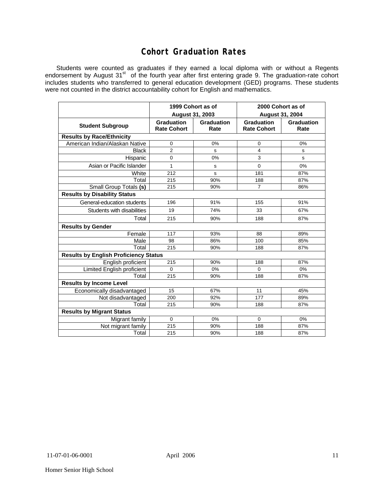### **Cohort Graduation Rates**

Students were counted as graduates if they earned a local diploma with or without a Regents endorsement by August 31<sup>st</sup> of the fourth year after first entering grade 9. The graduation-rate cohort includes students who transferred to general education development (GED) programs. These students were not counted in the district accountability cohort for English and mathematics.

|                                              | 1999 Cohort as of<br>August 31, 2003 |                    | 2000 Cohort as of<br><b>August 31, 2004</b> |                    |  |  |  |  |  |  |
|----------------------------------------------|--------------------------------------|--------------------|---------------------------------------------|--------------------|--|--|--|--|--|--|
| <b>Student Subgroup</b>                      | Graduation<br><b>Rate Cohort</b>     | Graduation<br>Rate | Graduation<br><b>Rate Cohort</b>            | Graduation<br>Rate |  |  |  |  |  |  |
| <b>Results by Race/Ethnicity</b>             |                                      |                    |                                             |                    |  |  |  |  |  |  |
| American Indian/Alaskan Native               | 0                                    | 0%                 | 0                                           | 0%                 |  |  |  |  |  |  |
| <b>Black</b>                                 | $\overline{2}$                       | s                  | 4                                           | s                  |  |  |  |  |  |  |
| Hispanic                                     | 0                                    | 0%                 | 3                                           | s                  |  |  |  |  |  |  |
| Asian or Pacific Islander                    | 1                                    | s                  | $\Omega$                                    | 0%                 |  |  |  |  |  |  |
| White                                        | 212                                  | s                  | 181                                         | 87%                |  |  |  |  |  |  |
| Total                                        | 215                                  | 90%                | 188                                         | 87%                |  |  |  |  |  |  |
| Small Group Totals (s)                       | 215                                  | 90%                | 7                                           | 86%                |  |  |  |  |  |  |
| <b>Results by Disability Status</b>          |                                      |                    |                                             |                    |  |  |  |  |  |  |
| General-education students                   | 196                                  | 91%                | 155                                         | 91%                |  |  |  |  |  |  |
| Students with disabilities                   | 19                                   | 74%                | 33                                          | 67%                |  |  |  |  |  |  |
| Total                                        | 215                                  | 90%                | 188                                         | 87%                |  |  |  |  |  |  |
| <b>Results by Gender</b>                     |                                      |                    |                                             |                    |  |  |  |  |  |  |
| Female                                       | 117                                  | 93%                | 88                                          | 89%                |  |  |  |  |  |  |
| Male                                         | 98                                   | 86%                | 100                                         | 85%                |  |  |  |  |  |  |
| Total                                        | 215                                  | 90%                | 188                                         | 87%                |  |  |  |  |  |  |
| <b>Results by English Proficiency Status</b> |                                      |                    |                                             |                    |  |  |  |  |  |  |
| English proficient                           | 215                                  | 90%                | 188                                         | 87%                |  |  |  |  |  |  |
| Limited English proficient                   | 0                                    | 0%                 | $\Omega$                                    | 0%                 |  |  |  |  |  |  |
| Total                                        | 215                                  | 90%                | 188                                         | 87%                |  |  |  |  |  |  |
| <b>Results by Income Level</b>               |                                      |                    |                                             |                    |  |  |  |  |  |  |
| Economically disadvantaged                   | 15                                   | 67%                | 11                                          | 45%                |  |  |  |  |  |  |
| Not disadvantaged                            | 200                                  | 92%                | 177                                         | 89%                |  |  |  |  |  |  |
| Total                                        | 215                                  | 90%                | 188                                         | 87%                |  |  |  |  |  |  |
| <b>Results by Migrant Status</b>             |                                      |                    |                                             |                    |  |  |  |  |  |  |
| Migrant family                               | 0                                    | $0\%$              | 0                                           | 0%                 |  |  |  |  |  |  |
| Not migrant family                           | 215                                  | 90%                | 188                                         | 87%                |  |  |  |  |  |  |
| Total                                        | 215                                  | 90%                | 188                                         | 87%                |  |  |  |  |  |  |